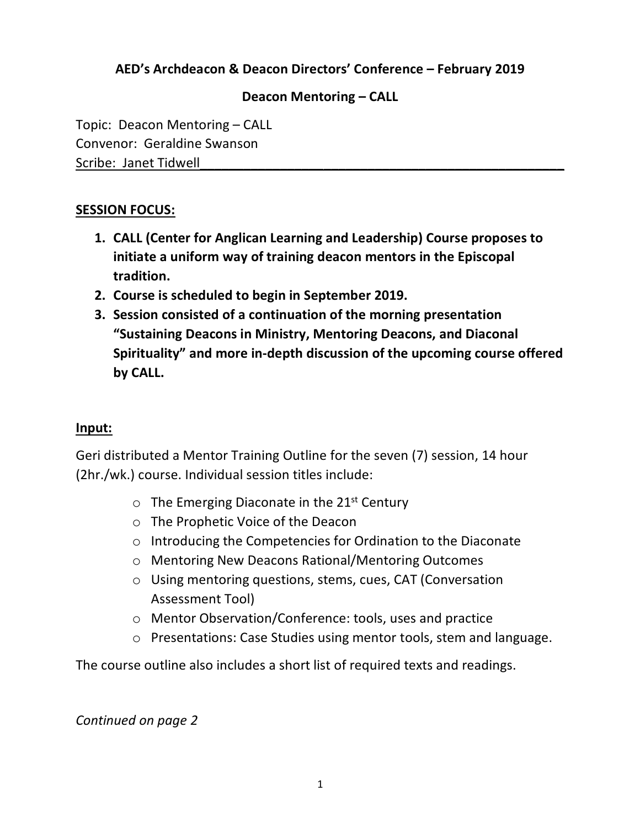# **AED's Archdeacon & Deacon Directors' Conference – February 2019**

## **Deacon Mentoring – CALL**

Topic: Deacon Mentoring – CALL Convenor: Geraldine Swanson Scribe: Janet Tidwell

### **SESSION FOCUS:**

- **1. CALL (Center for Anglican Learning and Leadership) Course proposes to initiate a uniform way of training deacon mentors in the Episcopal tradition.**
- **2. Course is scheduled to begin in September 2019.**
- **3. Session consisted of a continuation of the morning presentation "Sustaining Deacons in Ministry, Mentoring Deacons, and Diaconal Spirituality" and more in-depth discussion of the upcoming course offered by CALL.**

### **Input:**

Geri distributed a Mentor Training Outline for the seven (7) session, 14 hour (2hr./wk.) course. Individual session titles include:

- $\circ$  The Emerging Diaconate in the 21<sup>st</sup> Century
- o The Prophetic Voice of the Deacon
- o Introducing the Competencies for Ordination to the Diaconate
- o Mentoring New Deacons Rational/Mentoring Outcomes
- o Using mentoring questions, stems, cues, CAT (Conversation Assessment Tool)
- o Mentor Observation/Conference: tools, uses and practice
- o Presentations: Case Studies using mentor tools, stem and language.

The course outline also includes a short list of required texts and readings.

### *Continued on page 2*